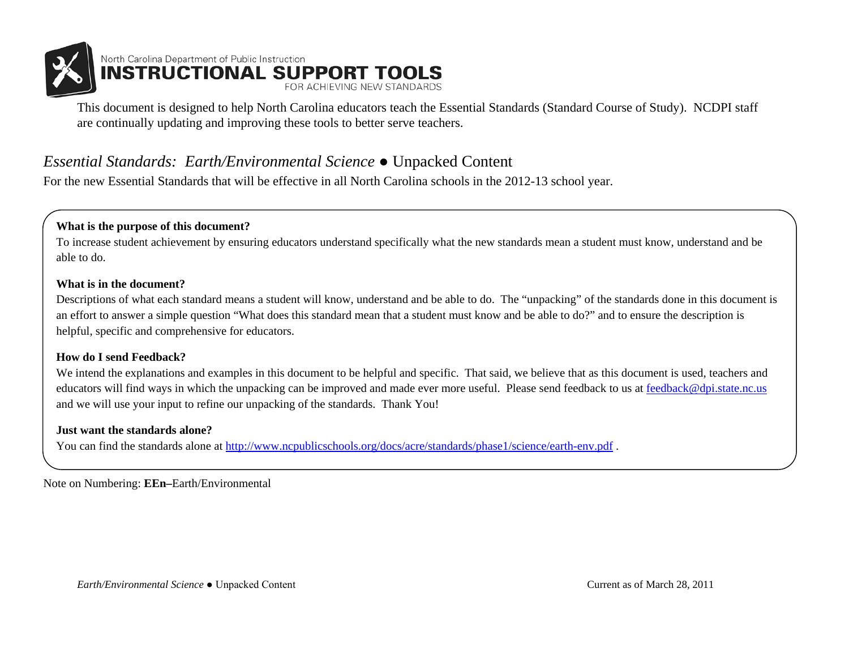

This document is designed to help North Carolina educators teach the Essential Standards (Standard Course of Study). NCDPI staff are continually updating and improving these tools to better serve teachers.

### *Essential Standards: Earth/Environmental Science* ● Unpacked Content

For the new Essential Standards that will be effective in all North Carolina schools in the 2012-13 school year.

#### **What is the purpose of this document?**

To increase student achievement by ensuring educators understand specifically what the new standards mean a student must know, understand and be able to do.

#### **What is in the document?**

Descriptions of what each standard means a student will know, understand and be able to do. The "unpacking" of the standards done in this document is an effort to answer a simple question "What does this standard mean that a student must know and be able to do?" and to ensure the description is helpful, specific and comprehensive for educators.

#### **How do I send Feedback?**

We intend the explanations and examples in this document to be helpful and specific. That said, we believe that as this document is used, teachers and educators will find ways in which the unpacking can be improved and made ever more useful. Please send feedback to us at [feedback@dpi.state.nc.us](mailto:feedback@dpi.state.nc.us) and we will use your input to refine our unpacking of the standards. Thank You!

#### **Just want the standards alone?**

You can find the standards alone at<http://www.ncpublicschools.org/docs/acre/standards/phase1/science/earth-env.pdf>.

Note on Numbering: **EEn–**Earth/Environmental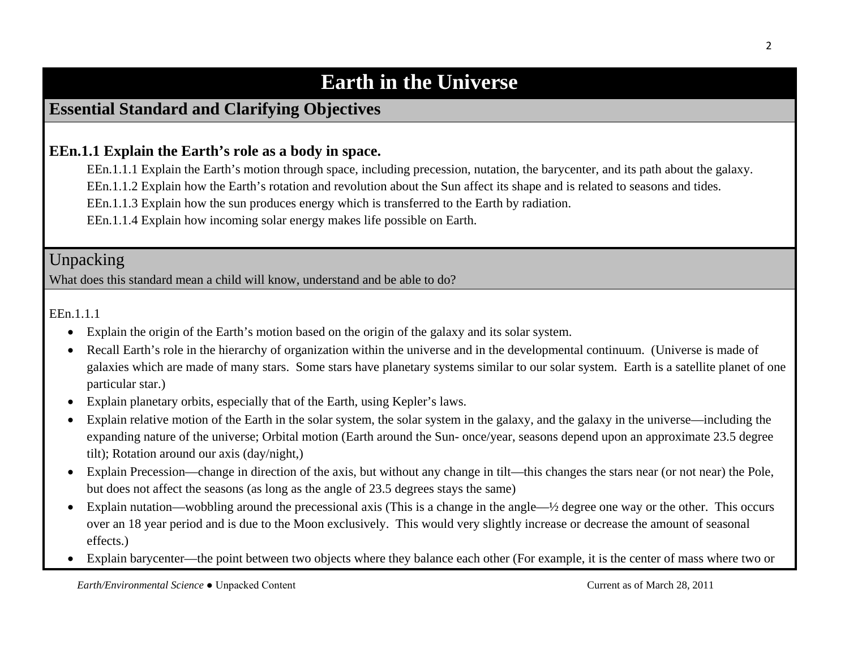# **Earth in the Universe**

### **Essential Standard and Clarifying Objectives**

### **EEn.1.1 Explain the Earth's role as a body in space.**

EEn.1.1.1 Explain the Earth's motion through space, including precession, nutation, the barycenter, and its path about the galaxy.

EEn.1.1.2 Explain how the Earth's rotation and revolution about the Sun affect its shape and is related to seasons and tides.

EEn.1.1.3 Explain how the sun produces energy which is transferred to the Earth by radiation.

EEn.1.1.4 Explain how incoming solar energy makes life possible on Earth.

Unpacking

What does this standard mean a child will know, understand and be able to do?

EEn.1.1.1

- Explain the origin of the Earth's motion based on the origin of the galaxy and its solar system.
- Recall Earth's role in the hierarchy of organization within the universe and in the developmental continuum. (Universe is made of galaxies which are made of many stars. Some stars have planetary systems similar to our solar system. Earth is a satellite planet of one particular star.)
- Explain planetary orbits, especially that of the Earth, using Kepler's laws.
- Explain relative motion of the Earth in the solar system, the solar system in the galaxy, and the galaxy in the universe—including the expanding nature of the universe; Orbital motion (Earth around the Sun- once/year, seasons depend upon an approximate 23.5 degree tilt); Rotation around our axis (day/night,)
- Explain Precession—change in direction of the axis, but without any change in tilt—this changes the stars near (or not near) the Pole, but does not affect the seasons (as long as the angle of 23.5 degrees stays the same)
- Explain nutation—wobbling around the precessional axis (This is a change in the angle— $\frac{1}{2}$  degree one way or the other. This occurs over an 18 year period and is due to the Moon exclusively. This would very slightly increase or decrease the amount of seasonal effects.)
- Explain barycenter—the point between two objects where they balance each other (For example, it is the center of mass where two or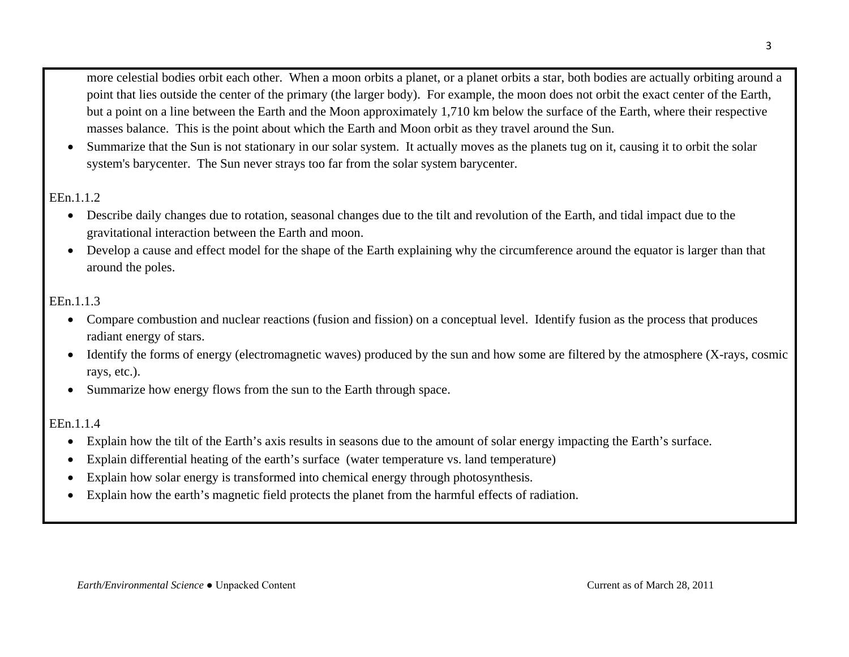more celestial bodies [orbit](http://en.wikipedia.org/wiki/Orbit) each other. When a [moon](http://en.wikipedia.org/wiki/Natural_satellite) orbits a [planet,](http://en.wikipedia.org/wiki/Planet) or a planet orbits a [star,](http://en.wikipedia.org/wiki/Star) both bodies are actually orbiting around a point that lies outside the center of the primary (the larger body). For example, the moon does not orbit the exact center of the [Earth,](http://en.wikipedia.org/wiki/Earth) but a point on a line between the Earth and the Moon approximately 1,710 km below the surface of the Earth, where their respective masses balance. This is the point about which the Earth and Moon orbit as they travel around the [Sun.](http://en.wikipedia.org/wiki/Sun)

• Summarize that the Sun is not stationary in our solar system. It actually moves as the planets tug on it, causing it to orbit the solar system's barycenter. The Sun never strays too far from the solar system barycenter.

#### EEn.1.1.2

- Describe daily changes due to rotation, seasonal changes due to the tilt and revolution of the Earth, and tidal impact due to the gravitational interaction between the Earth and moon.
- Develop a cause and effect model for the shape of the Earth explaining why the circumference around the equator is larger than that around the poles.

#### EEn.1.1.3

- Compare combustion and nuclear reactions (fusion and fission) on a conceptual level. Identify fusion as the process that produces radiant energy of stars.
- Identify the forms of energy (electromagnetic waves) produced by the sun and how some are filtered by the atmosphere (X-rays, cosmic rays, etc.).
- Summarize how energy flows from the sun to the Earth through space.

#### EEn.1.1.4

- Explain how the tilt of the Earth's axis results in seasons due to the amount of solar energy impacting the Earth's surface.
- Explain differential heating of the earth's surface (water temperature vs. land temperature)
- Explain how solar energy is transformed into chemical energy through photosynthesis.
- Explain how the earth's magnetic field protects the planet from the harmful effects of radiation.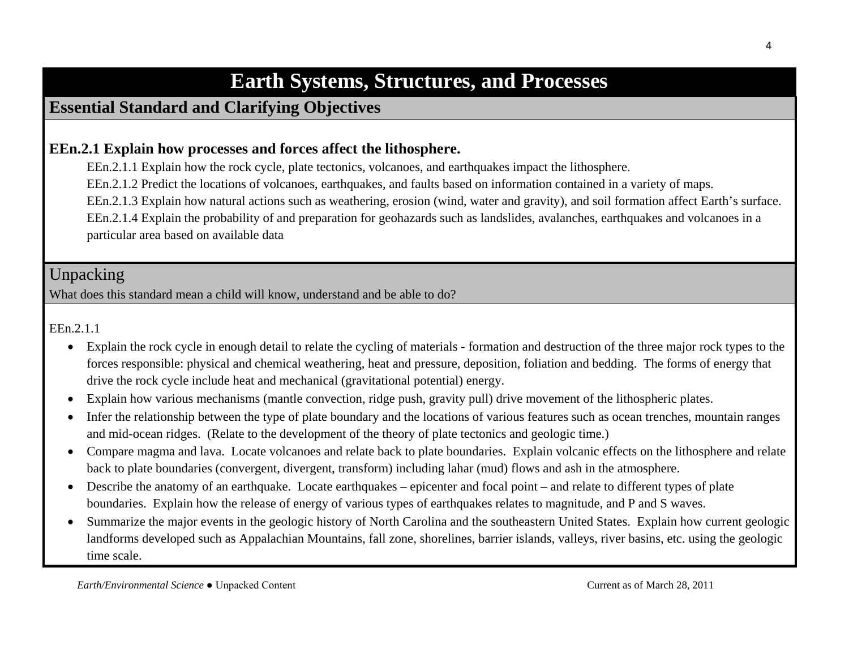# **Earth Systems, Structures, and Processes**

### **Essential Standard and Clarifying Objectives**

### **EEn.2.1 Explain how processes and forces affect the lithosphere.**

EEn.2.1.1 Explain how the rock cycle, plate tectonics, volcanoes, and earthquakes impact the lithosphere.

EEn.2.1.2 Predict the locations of volcanoes, earthquakes, and faults based on information contained in a variety of maps.

EEn.2.1.3 Explain how natural actions such as weathering, erosion (wind, water and gravity), and soil formation affect Earth's surface. EEn.2.1.4 Explain the probability of and preparation for geohazards such as landslides, avalanches, earthquakes and volcanoes in a particular area based on available data

# Unpacking

What does this standard mean a child will know, understand and be able to do?

EEn.2.1.1

- Explain the rock cycle in enough detail to relate the cycling of materials formation and destruction of the three major rock types to the forces responsible: physical and chemical weathering, heat and pressure, deposition, foliation and bedding. The forms of energy that drive the rock cycle include heat and mechanical (gravitational potential) energy.
- Explain how various mechanisms (mantle convection, ridge push, gravity pull) drive movement of the lithospheric plates.
- Infer the relationship between the type of plate boundary and the locations of various features such as ocean trenches, mountain ranges and mid-ocean ridges. (Relate to the development of the theory of plate tectonics and geologic time.)
- Compare magma and lava. Locate volcanoes and relate back to plate boundaries. Explain volcanic effects on the lithosphere and relate back to plate boundaries (convergent, divergent, transform) including lahar (mud) flows and ash in the atmosphere.
- Describe the anatomy of an earthquake. Locate earthquakes epicenter and focal point and relate to different types of plate boundaries. Explain how the release of energy of various types of earthquakes relates to magnitude, and P and S waves.
- Summarize the major events in the geologic history of North Carolina and the southeastern United States. Explain how current geologic landforms developed such as Appalachian Mountains, fall zone, shorelines, barrier islands, valleys, river basins, etc. using the geologic time scale.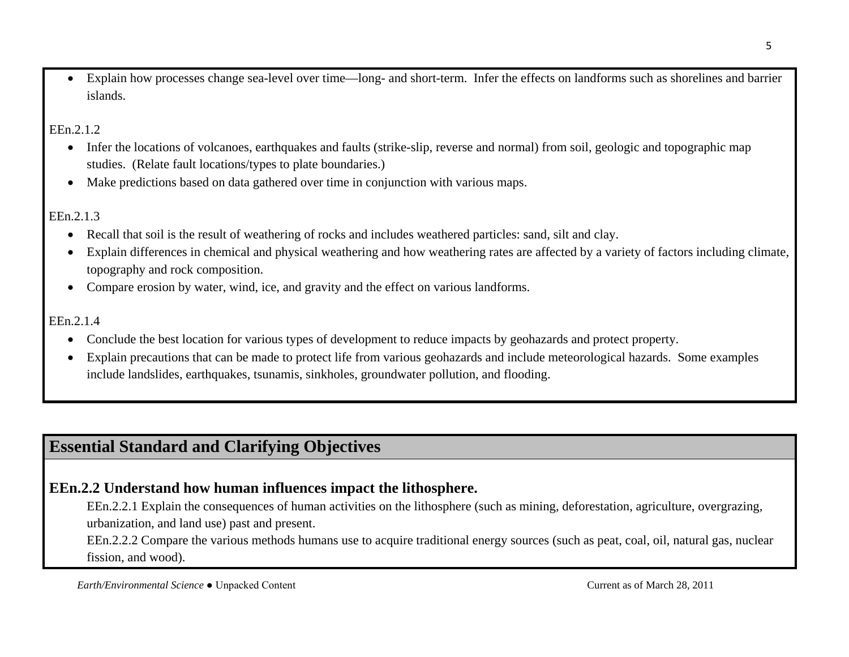• Explain how processes change sea-level over time—long- and short-term. Infer the effects on landforms such as shorelines and barrier islands.

#### EEn.2.1.2

- Infer the locations of volcanoes, earthquakes and faults (strike-slip, reverse and normal) from soil, geologic and topographic map studies. (Relate fault locations/types to plate boundaries.)
- Make predictions based on data gathered over time in conjunction with various maps.

### EEn.2.1.3

- Recall that soil is the result of weathering of rocks and includes weathered particles: sand, silt and clay.
- Explain differences in chemical and physical weathering and how weathering rates are affected by a variety of factors including climate, topography and rock composition.
- Compare erosion by water, wind, ice, and gravity and the effect on various landforms.

#### EEn.2.1.4

- Conclude the best location for various types of development to reduce impacts by geohazards and protect property.
- Explain precautions that can be made to protect life from various geohazards and include meteorological hazards. Some examples include landslides, earthquakes, tsunamis, sinkholes, groundwater pollution, and flooding.

# **Essential Standard and Clarifying Objectives**

### **EEn.2.2 Understand how human influences impact the lithosphere.**

EEn.2.2.1 Explain the consequences of human activities on the lithosphere (such as mining, deforestation, agriculture, overgrazing, urbanization, and land use) past and present.

EEn.2.2.2 Compare the various methods humans use to acquire traditional energy sources (such as peat, coal, oil, natural gas, nuclear fission, and wood).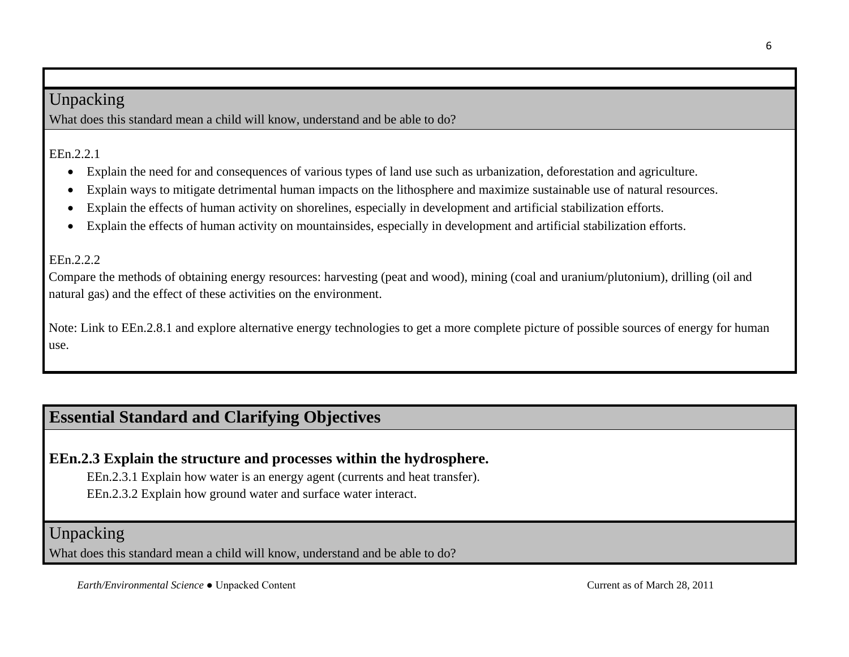### Unpacking

What does this standard mean a child will know, understand and be able to do?

EEn.2.2.1

- Explain the need for and consequences of various types of land use such as urbanization, deforestation and agriculture.
- Explain ways to mitigate detrimental human impacts on the lithosphere and maximize sustainable use of natural resources.
- Explain the effects of human activity on shorelines, especially in development and artificial stabilization efforts.
- Explain the effects of human activity on mountainsides, especially in development and artificial stabilization efforts.

### EEn.2.2.2

Compare the methods of obtaining energy resources: harvesting (peat and wood), mining (coal and uranium/plutonium), drilling (oil and natural gas) and the effect of these activities on the environment.

Note: Link to EEn.2.8.1 and explore alternative energy technologies to get a more complete picture of possible sources of energy for human use.

# **Essential Standard and Clarifying Objectives**

### **EEn.2.3 Explain the structure and processes within the hydrosphere.**

EEn.2.3.1 Explain how water is an energy agent (currents and heat transfer).

EEn.2.3.2 Explain how ground water and surface water interact.

### Unpacking

What does this standard mean a child will know, understand and be able to do?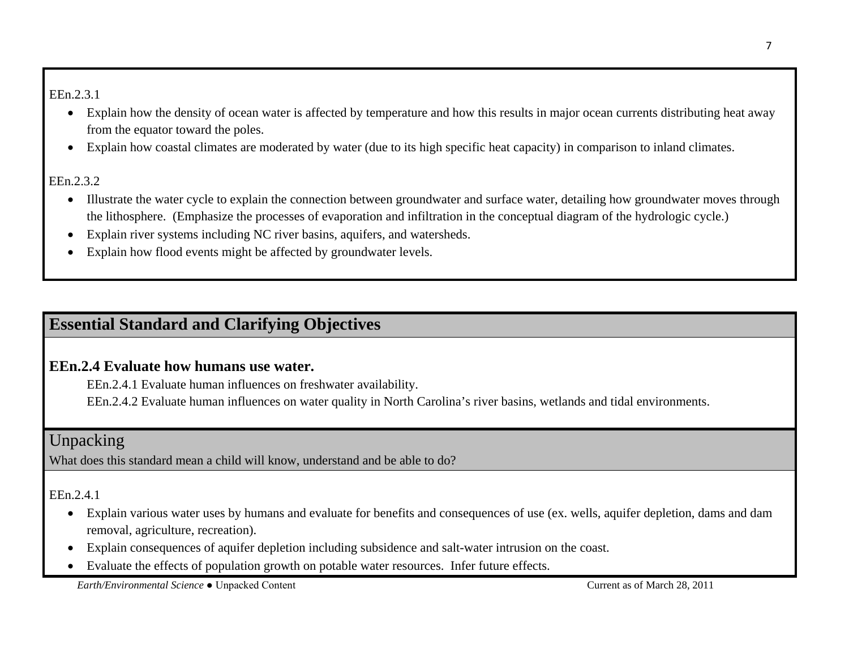#### EEn.2.3.1

- Explain how the density of ocean water is affected by temperature and how this results in major ocean currents distributing heat away from the equator toward the poles.
- Explain how coastal climates are moderated by water (due to its high specific heat capacity) in comparison to inland climates.

#### EEn.2.3.2

- Illustrate the water cycle to explain the connection between groundwater and surface water, detailing how groundwater moves through the lithosphere. (Emphasize the processes of evaporation and infiltration in the conceptual diagram of the hydrologic cycle.)
- Explain river systems including NC river basins, aquifers, and watersheds.
- Explain how flood events might be affected by groundwater levels.

### **Essential Standard and Clarifying Objectives**

### **EEn.2.4 Evaluate how humans use water.**

EEn.2.4.1 Evaluate human influences on freshwater availability.

EEn.2.4.2 Evaluate human influences on water quality in North Carolina's river basins, wetlands and tidal environments.

### Unpacking

What does this standard mean a child will know, understand and be able to do?

### EEn.2.4.1

- Explain various water uses by humans and evaluate for benefits and consequences of use (ex. wells, aquifer depletion, dams and dam removal, agriculture, recreation).
- Explain consequences of aquifer depletion including subsidence and salt-water intrusion on the coast.
- Evaluate the effects of population growth on potable water resources. Infer future effects.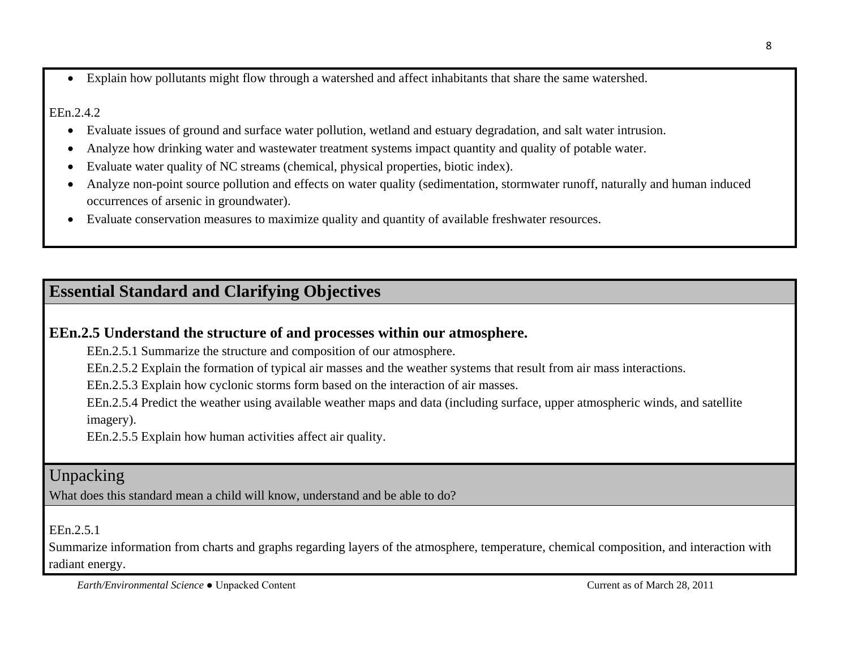• Explain how pollutants might flow through a watershed and affect inhabitants that share the same watershed.

#### EEn.2.4.2

- Evaluate issues of ground and surface water pollution, wetland and estuary degradation, and salt water intrusion.
- Analyze how drinking water and wastewater treatment systems impact quantity and quality of potable water.
- Evaluate water quality of NC streams (chemical, physical properties, biotic index).
- Analyze non-point source pollution and effects on water quality (sedimentation, stormwater runoff, naturally and human induced occurrences of arsenic in groundwater).
- Evaluate conservation measures to maximize quality and quantity of available freshwater resources.

# **Essential Standard and Clarifying Objectives**

### **EEn.2.5 Understand the structure of and processes within our atmosphere.**

EEn.2.5.1 Summarize the structure and composition of our atmosphere.

EEn.2.5.2 Explain the formation of typical air masses and the weather systems that result from air mass interactions.

EEn.2.5.3 Explain how cyclonic storms form based on the interaction of air masses.

EEn.2.5.4 Predict the weather using available weather maps and data (including surface, upper atmospheric winds, and satellite imagery).

EEn.2.5.5 Explain how human activities affect air quality.

# Unpacking

What does this standard mean a child will know, understand and be able to do?

EEn.2.5.1

Summarize information from charts and graphs regarding layers of the atmosphere, temperature, chemical composition, and interaction with radiant energy.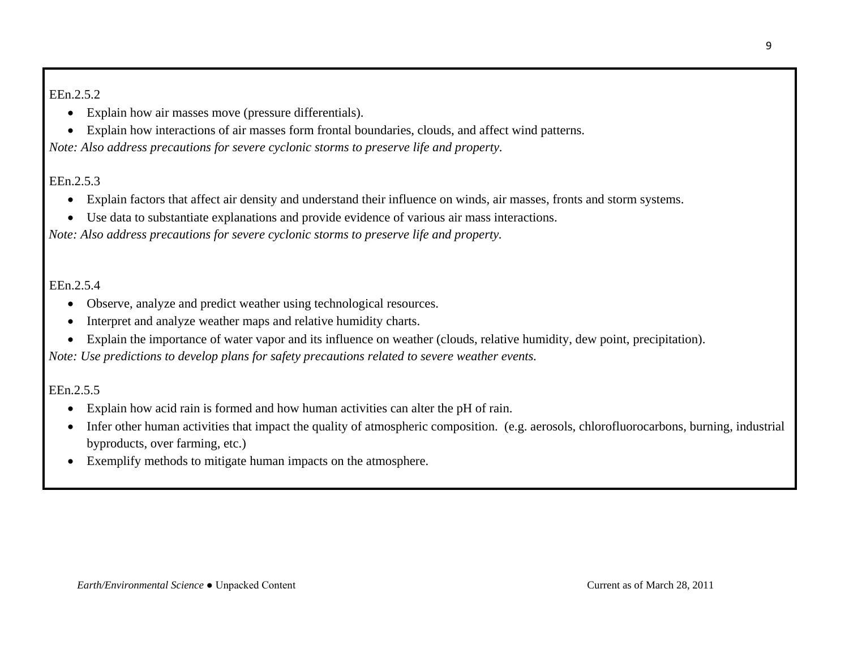#### EEn.2.5.2

- Explain how air masses move (pressure differentials).
- Explain how interactions of air masses form frontal boundaries, clouds, and affect wind patterns.

*Note: Also address precautions for severe cyclonic storms to preserve life and property.*

### EEn.2.5.3

- Explain factors that affect air density and understand their influence on winds, air masses, fronts and storm systems.
- Use data to substantiate explanations and provide evidence of various air mass interactions.

*Note: Also address precautions for severe cyclonic storms to preserve life and property.*

#### EEn.2.5.4

- Observe, analyze and predict weather using technological resources.
- Interpret and analyze weather maps and relative humidity charts.
- Explain the importance of water vapor and its influence on weather (clouds, relative humidity, dew point, precipitation).

*Note: Use predictions to develop plans for safety precautions related to severe weather events.*

EEn.2.5.5

- Explain how acid rain is formed and how human activities can alter the pH of rain.
- Infer other human activities that impact the quality of atmospheric composition. (e.g. aerosols, chlorofluorocarbons, burning, industrial byproducts, over farming, etc.)
- Exemplify methods to mitigate human impacts on the atmosphere.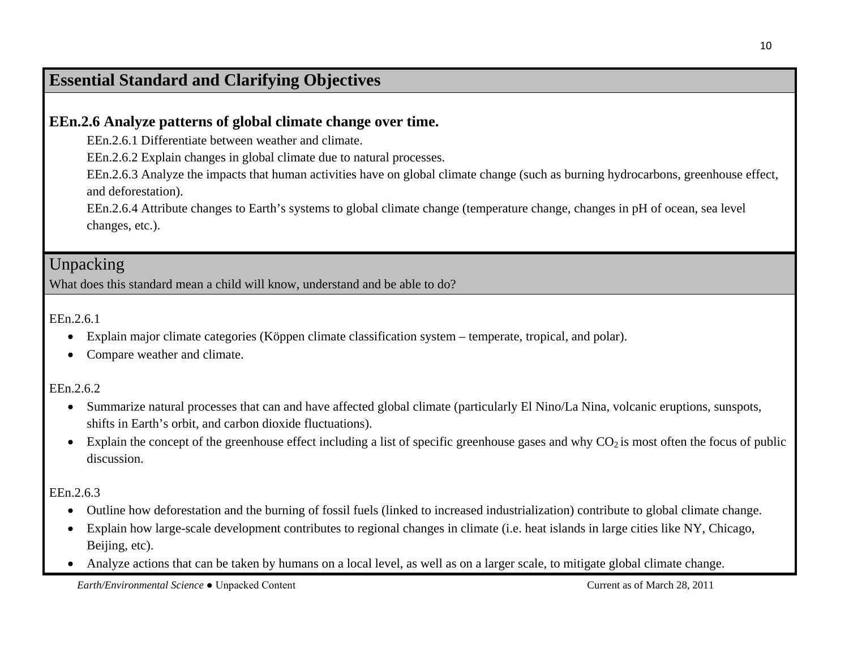### **Essential Standard and Clarifying Objectives**

### **EEn.2.6 Analyze patterns of global climate change over time.**

EEn.2.6.1 Differentiate between weather and climate.

EEn.2.6.2 Explain changes in global climate due to natural processes.

EEn.2.6.3 Analyze the impacts that human activities have on global climate change (such as burning hydrocarbons, greenhouse effect, and deforestation).

EEn.2.6.4 Attribute changes to Earth's systems to global climate change (temperature change, changes in pH of ocean, sea level changes, etc.).

### Unpacking

What does this standard mean a child will know, understand and be able to do?

EEn.2.6.1

- Explain major climate categories (Köppen climate classification system temperate, tropical, and polar).
- Compare weather and climate.

EEn.2.6.2

- Summarize natural processes that can and have affected global climate (particularly El Nino/La Nina, volcanic eruptions, sunspots, shifts in Earth's orbit, and carbon dioxide fluctuations).
- Explain the concept of the greenhouse effect including a list of specific greenhouse gases and why  $CO_2$  is most often the focus of public discussion.

EEn.2.6.3

- Outline how deforestation and the burning of fossil fuels (linked to increased industrialization) contribute to global climate change.
- Explain how large-scale development contributes to regional changes in climate (i.e. heat islands in large cities like NY, Chicago, Beijing, etc).
- Analyze actions that can be taken by humans on a local level, as well as on a larger scale, to mitigate global climate change.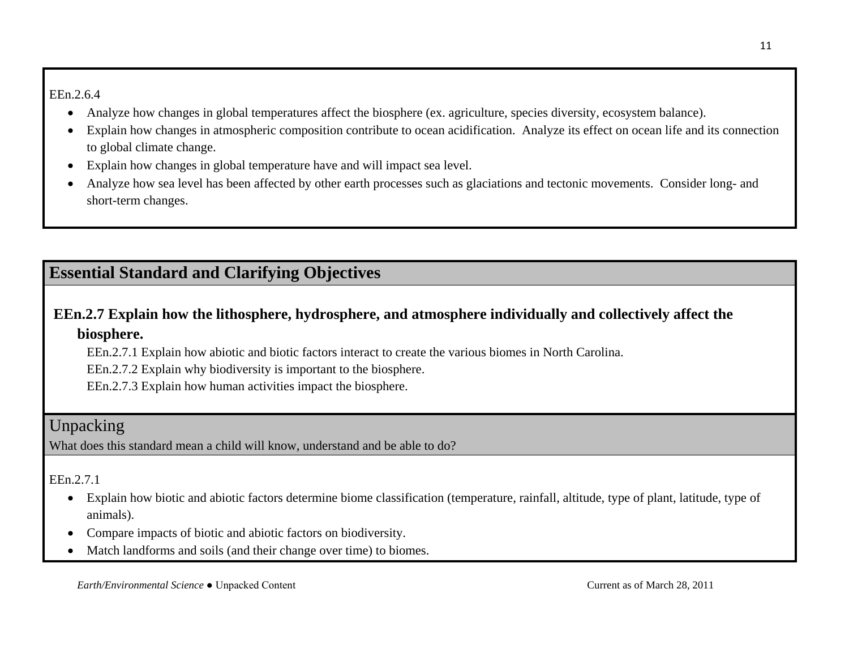#### EEn.2.6.4

- Analyze how changes in global temperatures affect the biosphere (ex. agriculture, species diversity, ecosystem balance).
- Explain how changes in atmospheric composition contribute to ocean acidification. Analyze its effect on ocean life and its connection to global climate change.
- Explain how changes in global temperature have and will impact sea level.
- Analyze how sea level has been affected by other earth processes such as glaciations and tectonic movements. Consider long- and short-term changes.

# **Essential Standard and Clarifying Objectives**

### **EEn.2.7 Explain how the lithosphere, hydrosphere, and atmosphere individually and collectively affect the biosphere.**

EEn.2.7.1 Explain how abiotic and biotic factors interact to create the various biomes in North Carolina.

EEn.2.7.2 Explain why biodiversity is important to the biosphere.

EEn.2.7.3 Explain how human activities impact the biosphere.

### Unpacking

What does this standard mean a child will know, understand and be able to do?

### EEn.2.7.1

- Explain how biotic and abiotic factors determine biome classification (temperature, rainfall, altitude, type of plant, latitude, type of animals).
- Compare impacts of biotic and abiotic factors on biodiversity.
- Match landforms and soils (and their change over time) to biomes.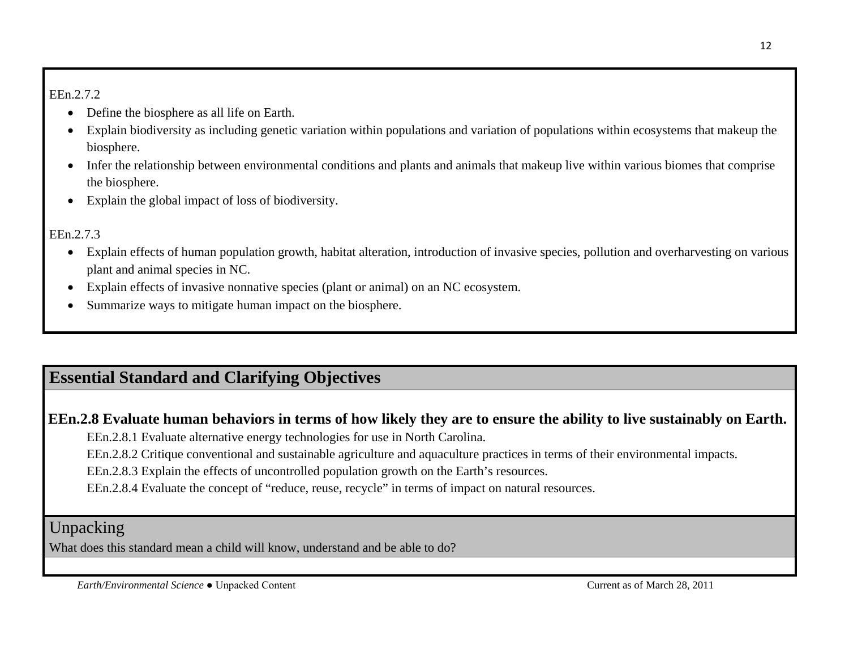EEn.2.7.2

- Define the biosphere as all life on Earth.
- Explain biodiversity as including genetic variation within populations and variation of populations within ecosystems that makeup the biosphere.
- Infer the relationship between environmental conditions and plants and animals that makeup live within various biomes that comprise the biosphere.
- Explain the global impact of loss of biodiversity.

### EEn.2.7.3

- Explain effects of human population growth, habitat alteration, introduction of invasive species, pollution and overharvesting on various plant and animal species in NC.
- Explain effects of invasive nonnative species (plant or animal) on an NC ecosystem.
- Summarize ways to mitigate human impact on the biosphere.

# **Essential Standard and Clarifying Objectives**

### **EEn.2.8 Evaluate human behaviors in terms of how likely they are to ensure the ability to live sustainably on Earth.**

EEn.2.8.1 Evaluate alternative energy technologies for use in North Carolina.

EEn.2.8.2 Critique conventional and sustainable agriculture and aquaculture practices in terms of their environmental impacts.

EEn.2.8.3 Explain the effects of uncontrolled population growth on the Earth's resources.

EEn.2.8.4 Evaluate the concept of "reduce, reuse, recycle" in terms of impact on natural resources.

### Unpacking

What does this standard mean a child will know, understand and be able to do?